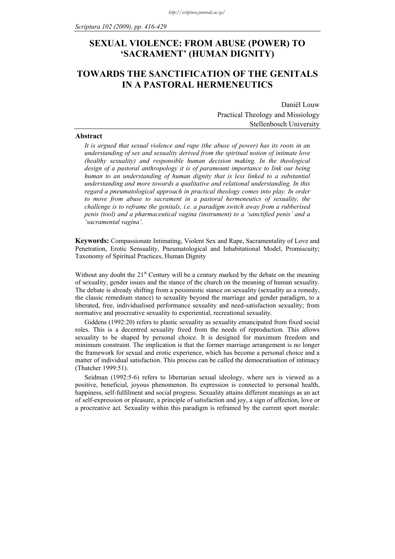# **SEXUAL VIOLENCE: FROM ABUSE (POWER) TO 'SACRAMENT' (HUMAN DIGNITY)**

## **TOWARDS THE SANCTIFICATION OF THE GENITALS IN A PASTORAL HERMENEUTICS**

Daniël Louw Practical Theology and Missiology Stellenbosch University

#### **Abstract**

*It is argued that sexual violence and rape (the abuse of power) has its roots in an understanding of sex and sexuality derived from the spiritual notion of intimate love (healthy sexuality) and responsible human decision making. In the theological design of a pastoral anthropology it is of paramount importance to link our being human to an understanding of human dignity that is less linked to a substantial understanding and more towards a qualitative and relational understanding. In this regard a pneumatological approach in practical theology comes into play. In order to move from abuse to sacrament in a pastoral hermeneutics of sexuality, the challenge is to reframe the genitals, i.e. a paradigm switch away from a rubberised penis (tool) and a pharmaceutical vagina (instrument) to a 'sanctified penis' and a 'sacramental vagina'.* 

**Keywords:** Compassionate Intimating, Violent Sex and Rape, Sacramentality of Love and Penetration, Erotic Sensuality, Pneumatological and Inhabitational Model, Promiscuity; Taxonomy of Spiritual Practices, Human Dignity

Without any doubt the  $21<sup>st</sup>$  Century will be a century marked by the debate on the meaning of sexuality, gender issues and the stance of the church on the meaning of human sexuality. The debate is already shifting from a pessimistic stance on sexuality (sexuality as a remedy, the classic remedium stance) to sexuality beyond the marriage and gender paradigm, to a liberated, free, individualised performance sexuality and need-satisfaction sexuality; from normative and procreative sexuality to experiential, recreational sexuality.

Giddens (1992:20) refers to plastic sexuality as sexuality emancipated from fixed social roles. This is a decentred sexuality freed from the needs of reproduction. This allows sexuality to be shaped by personal choice. It is designed for maximum freedom and minimum constraint. The implication is that the former marriage arrangement is no longer the framework for sexual and erotic experience, which has become a personal choice and a matter of individual satisfaction. This process can be called the democratisation of intimacy (Thatcher 1999:51).

Seidman (1992:5-6) refers to libertarian sexual ideology, where sex is viewed as a positive, beneficial, joyous phenomenon. Its expression is connected to personal health, happiness, self-fulfilment and social progress. Sexuality attains different meanings as an act of self-expression or pleasure, a principle of satisfaction and joy, a sign of affection, love or a procreative act. Sexuality within this paradigm is reframed by the current sport morale: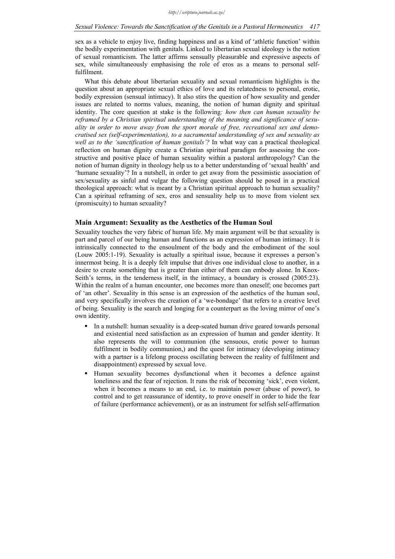## *Sexual Violence: Towards the Sanctification of the Genitals in a Pastoral Hermeneutics 417*

sex as a vehicle to enjoy live, finding happiness and as a kind of 'athletic function' within the bodily experimentation with genitals. Linked to libertarian sexual ideology is the notion of sexual romanticism. The latter affirms sensually pleasurable and expressive aspects of sex, while simultaneously emphasising the role of eros as a means to personal selffulfilment.

What this debate about libertarian sexuality and sexual romanticism highlights is the question about an appropriate sexual ethics of love and its relatedness to personal, erotic, bodily expression (sensual intimacy). It also stirs the question of how sexuality and gender issues are related to norms values, meaning, the notion of human dignity and spiritual identity. The core question at stake is the following*: how then can human sexuality be reframed by a Christian spiritual understanding of the meaning and significance of sexuality in order to move away from the sport morale of free, recreational sex and democratised sex (self-experimentation), to a sacramental understanding of sex and sexuality as well as to the 'sanctification of human genitals'?* In what way can a practical theological reflection on human dignity create a Christian spiritual paradigm for assessing the constructive and positive place of human sexuality within a pastoral anthropology? Can the notion of human dignity in theology help us to a better understanding of 'sexual health' and 'humane sexuality'? In a nutshell, in order to get away from the pessimistic association of sex/sexuality as sinful and vulgar the following question should be posed in a practical theological approach: what is meant by a Christian spiritual approach to human sexuality? Can a spiritual reframing of sex, eros and sensuality help us to move from violent sex (promiscuity) to human sexuality?

## **Main Argument: Sexuality as the Aesthetics of the Human Soul**

Sexuality touches the very fabric of human life. My main argument will be that sexuality is part and parcel of our being human and functions as an expression of human intimacy. It is intrinsically connected to the ensoulment of the body and the embodiment of the soul (Louw 2005:1-19). Sexuality is actually a spiritual issue, because it expresses a person's innermost being. It is a deeply felt impulse that drives one individual close to another, in a desire to create something that is greater than either of them can embody alone. In Knox-Seith's terms, in the tenderness itself, in the intimacy, a boundary is crossed (2005:23). Within the realm of a human encounter, one becomes more than oneself; one becomes part of 'an other'. Sexuality in this sense is an expression of the aesthetics of the human soul, and very specifically involves the creation of a 'we-bondage' that refers to a creative level of being. Sexuality is the search and longing for a counterpart as the loving mirror of one's own identity.

- In a nutshell: human sexuality is a deep-seated human drive geared towards personal and existential need satisfaction as an expression of human and gender identity. It also represents the will to communion (the sensuous, erotic power to human fulfilment in bodily communion,) and the quest for intimacy (developing intimacy with a partner is a lifelong process oscillating between the reality of fulfilment and disappointment) expressed by sexual love.
- Human sexuality becomes dysfunctional when it becomes a defence against loneliness and the fear of rejection. It runs the risk of becoming 'sick', even violent, when it becomes a means to an end, i.e. to maintain power (abuse of power), to control and to get reassurance of identity, to prove oneself in order to hide the fear of failure (performance achievement), or as an instrument for selfish self-affirmation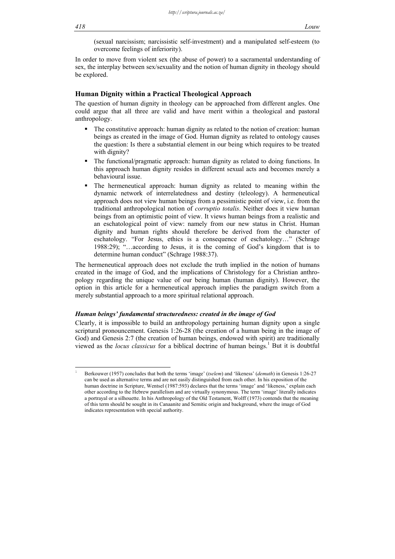(sexual narcissism; narcissistic self-investment) and a manipulated self-esteem (to overcome feelings of inferiority).

In order to move from violent sex (the abuse of power) to a sacramental understanding of sex, the interplay between sex/sexuality and the notion of human dignity in theology should be explored.

### **Human Dignity within a Practical Theological Approach**

The question of human dignity in theology can be approached from different angles. One could argue that all three are valid and have merit within a theological and pastoral anthropology.

- The constitutive approach: human dignity as related to the notion of creation: human beings as created in the image of God. Human dignity as related to ontology causes the question: Is there a substantial element in our being which requires to be treated with dignity?
- The functional/pragmatic approach: human dignity as related to doing functions. In this approach human dignity resides in different sexual acts and becomes merely a behavioural issue.
- The hermeneutical approach: human dignity as related to meaning within the dynamic network of interrelatedness and destiny (teleology). A hermeneutical approach does not view human beings from a pessimistic point of view, i.e. from the traditional anthropological notion of *corruptio totalis*. Neither does it view human beings from an optimistic point of view. It views human beings from a realistic and an eschatological point of view: namely from our new status in Christ. Human dignity and human rights should therefore be derived from the character of eschatology. "For Jesus, ethics is a consequence of eschatology…" (Schrage 1988:29); "…according to Jesus, it is the coming of God's kingdom that is to determine human conduct" (Schrage 1988:37).

The hermeneutical approach does not exclude the truth implied in the notion of humans created in the image of God, and the implications of Christology for a Christian anthropology regarding the unique value of our being human (human dignity). However, the option in this article for a hermeneutical approach implies the paradigm switch from a merely substantial approach to a more spiritual relational approach.

#### *Human beings' fundamental structuredness: created in the image of God*

Clearly, it is impossible to build an anthropology pertaining human dignity upon a single scriptural pronouncement. Genesis 1:26-28 (the creation of a human being in the image of God) and Genesis 2:7 (the creation of human beings, endowed with spirit) are traditionally viewed as the *locus classicus* for a biblical doctrine of human beings.<sup>1</sup> But it is doubtful

Berkouwer (1957) concludes that both the terms 'image' (*tselem*) and 'likeness' (*demuth*) in Genesis 1:26-27 can be used as alternative terms and are not easily distinguished from each other. In his exposition of the human doctrine in Scripture, Wentsel (1987:593) declares that the terms 'image' and 'likeness,' explain each other according to the Hebrew parallelism and are virtually synonymous. The term 'image' literally indicates a portrayal or a silhouette. In his Anthropology of the Old Testament, Wolff (1973) contends that the meaning of this term should be sought in its Canaanite and Semitic origin and background, where the image of God indicates representation with special authority.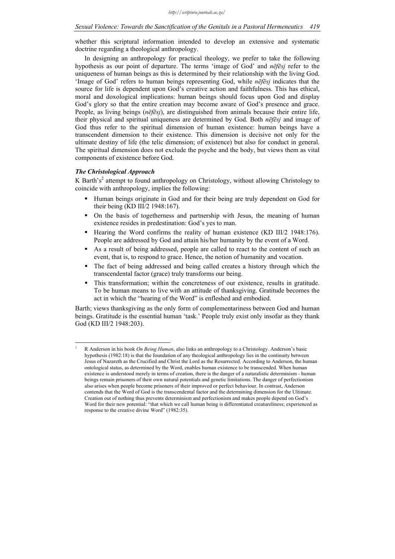whether this scriptural information intended to develop an extensive and systematic doctrine regarding a theological anthropology.

In designing an anthropology for practical theology, we prefer to take the following hypothesis as our point of departure. The terms 'image of God' and *nēfēsj* refer to the uniqueness of human beings as this is determined by their relationship with the living God. 'Image of God' refers to human beings representing God, while *nēfēsj* indicates that the source for life is dependent upon God's creative action and faithfulness. This has ethical, moral and doxological implications: human beings should focus upon God and display God's glory so that the entire creation may become aware of God's presence and grace. People, as living beings (*nēfēsj*), are distinguished from animals because their entire life, their physical and spiritual uniqueness are determined by God. Both *nēfēsj* and image of God thus refer to the spiritual dimension of human existence: human beings have a transcendent dimension to their existence. This dimension is decisive not only for the ultimate destiny of life (the telic dimension; of existence) but also for conduct in general. The spiritual dimension does not exclude the psyche and the body, but views them as vital components of existence before God.

## *The Christological Approach*

1

K Barth's<sup>2</sup> attempt to found anthropology on Christology, without allowing Christology to coincide with anthropology, implies the following:

- Human beings originate in God and for their being are truly dependent on God for their being (KD III/2 1948:167).
- On the basis of togetherness and partnership with Jesus, the meaning of human existence resides in predestination: God's yes to man.
- Hearing the Word confirms the reality of human existence (KD III/2 1948:176). People are addressed by God and attain his/her humanity by the event of a Word.
- As a result of being addressed, people are called to react to the content of such an event, that is, to respond to grace. Hence, the notion of humanity and vocation.
- The fact of being addressed and being called creates a history through which the transcendental factor (grace) truly transforms our being.
- This transformation; within the concreteness of our existence, results in gratitude. To be human means to live with an attitude of thanksgiving. Gratitude becomes the act in which the "hearing of the Word" is enfleshed and embodied.

Barth; views thanksgiving as the only form of complementariness between God and human beings. Gratitude is the essential human 'task.' People truly exist only insofar as they thank God (KD III/2 1948:203).

<sup>2</sup> R Anderson in his book *On Being Human*, also links an anthropology to a Christology. Anderson's basic hypothesis (1982:18) is that the foundation of any theological anthropology lies in the continuity between Jesus of Nazareth as the Crucified and Christ the Lord as the Resurrected. According to Anderson, the human ontological status, as determined by the Word, enables human existence to be transcended. When human existence is understood merely in terms of creation, there is the danger of a naturalistic determinism - human beings remain prisoners of their own natural potentials and genetic limitations. The danger of perfectionism also arises when people become prisoners of their improved or perfect behaviour. In contrast, Anderson contends that the Word of God is the transcendental factor and the determining dimension for the Ultimate. Creation out of nothing thus prevents determinism and perfectionism and makes people depend on God's Word for their new potential: "that which we call human being is differentiated creatureliness; experienced as response to the creative divine Word" (1982:35).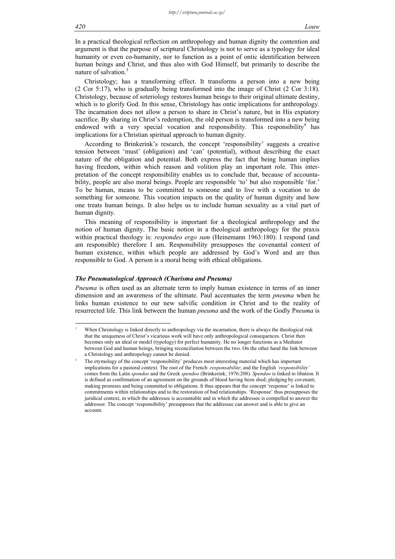#### *420 Louw*

In a practical theological reflection on anthropology and human dignity the contention and argument is that the purpose of scriptural Christology is not to serve as a typology for ideal humanity or even co-humanity, nor to function as a point of ontic identification between human beings and Christ, and thus also with God Himself, but primarily to describe the nature of salvation.<sup>3</sup>

Christology; has a transforming effect. It transforms a person into a new being (2 Cor 5:17), who is gradually being transformed into the image of Christ (2 Cor 3:18). Christology, because of soteriology restores human beings to their original ultimate destiny, which is to glorify God. In this sense, Christology has ontic implications for anthropology. The incarnation does not allow a person to share in Christ's nature, but in His expiatory sacrifice. By sharing in Christ's redemption, the old person is transformed into a new being endowed with a very special vocation and responsibility. This responsibility<sup>4</sup> has implications for a Christian spiritual approach to human dignity.

According to Brinkerink's research, the concept 'responsibility' suggests a creative tension between 'must' (obligation) and 'can' (potential), without describing the exact nature of the obligation and potential. Both express the fact that being human implies having freedom, within which reason and volition play an important role. This interpretation of the concept responsibility enables us to conclude that, because of accountability, people are also moral beings. People are responsible 'to' but also responsible 'for.' To be human, means to be committed to someone and to live with a vocation to do something for someone. This vocation impacts on the quality of human dignity and how one treats human beings. It also helps us to include human sexuality as a vital part of human dignity.

This meaning of responsibility is important for a theological anthropology and the notion of human dignity. The basic notion in a theological anthropology for the praxis within practical theology is: *respondeo ergo sum* (Heinemann 1963:180): I respond (and am responsible) therefore I am. Responsibility presupposes the covenantal context of human existence, within which people are addressed by God's Word and are thus responsible to God. A person is a moral being with ethical obligations.

#### *The Pneumatological Approach (Charisma and Pneuma)*

*Pneuma* is often used as an alternate term to imply human existence in terms of an inner dimension and an awareness of the ultimate. Paul accentuates the term *pneuma* when he links human existence to our new salvific condition in Christ and to the reality of resurrected life. This link between the human *pneuma* and the work of the Godly P*neuma* is

<sup>3</sup> When Christology is linked directly to anthropology via the incarnation, there is always the theological risk that the uniqueness of Christ's vicarious work will have only anthropological consequences. Christ then becomes only an ideal or model (typology) for perfect humanity. He no longer functions as a Mediator between God and human beings, bringing reconciliation between the two. On the other hand the link between a Christology and anthropology cannot be denied.

<sup>4</sup> The etymology of the concept 'responsibility' produces most interesting material which has important implications for a pastoral context. The root of the French .*responsabilite*; and the English *'responsibility'* comes from the Latin *spondeo* and the Greek *spendoo* (Brinkerink; 1976:208). *Spendoo* is linked to libation. It is defined as confirmation of an agreement on the grounds of blood having been shed; pledging by covenant; making promises and being committed to obligations. It thus appears that the concept 'response' is linked to commitments within relationships and to the restoration of bad relationships. 'Response' thus presupposes the juridical context, in which the addressee is accountable and in which the addressee is compelled to answer the addressor. The concept 'responsibility' presupposes that the addressee can answer and is able to give an account.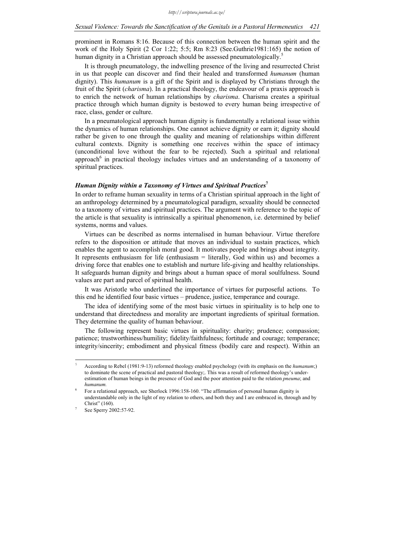prominent in Romans 8:16. Because of this connection between the human spirit and the work of the Holy Spirit (2 Cor 1:22; 5:5; Rm 8:23 (See.Guthrie1981:165) the notion of human dignity in a Christian approach should be assessed pneumatologically.<sup>5</sup>

It is through pneumatology, the indwelling presence of the living and resurrected Christ in us that people can discover and find their healed and transformed *humanum* (human dignity). This *humanum* is a gift of the Spirit and is displayed by Christians through the fruit of the Spirit (*charisma*). In a practical theology, the endeavour of a praxis approach is to enrich the network of human relationships by *charisma*. Charisma creates a spiritual practice through which human dignity is bestowed to every human being irrespective of race, class, gender or culture.

In a pneumatological approach human dignity is fundamentally a relational issue within the dynamics of human relationships. One cannot achieve dignity or earn it; dignity should rather be given to one through the quality and meaning of relationships within different cultural contexts. Dignity is something one receives within the space of intimacy (unconditional love without the fear to be rejected). Such a spiritual and relational approach<sup>6</sup> in practical theology includes virtues and an understanding of a taxonomy of spiritual practices.

#### *Human Dignity within a Taxonomy of Virtues and Spiritual Practices***<sup>7</sup>**

In order to reframe human sexuality in terms of a Christian spiritual approach in the light of an anthropology determined by a pneumatological paradigm, sexuality should be connected to a taxonomy of virtues and spiritual practices. The argument with reference to the topic of the article is that sexuality is intrinsically a spiritual phenomenon, i.e. determined by belief systems, norms and values.

Virtues can be described as norms internalised in human behaviour. Virtue therefore refers to the disposition or attitude that moves an individual to sustain practices, which enables the agent to accomplish moral good. It motivates people and brings about integrity. It represents enthusiasm for life (enthusiasm = literally, God within us) and becomes a driving force that enables one to establish and nurture life-giving and healthy relationships. It safeguards human dignity and brings about a human space of moral soulfulness. Sound values are part and parcel of spiritual health.

It was Aristotle who underlined the importance of virtues for purposeful actions. To this end he identified four basic virtues – prudence, justice, temperance and courage.

The idea of identifying some of the most basic virtues in spirituality is to help one to understand that directedness and morality are important ingredients of spiritual formation. They determine the quality of human behaviour.

The following represent basic virtues in spirituality: charity; prudence; compassion; patience; trustworthiness/humility; fidelity/faithfulness; fortitude and courage; temperance; integrity/sincerity; embodiment and physical fitness (bodily care and respect). Within an

l

<sup>5</sup> According to Rebel (1981:9-13) reformed theology enabled psychology (with its emphasis on the *humanum*;) to dominate the scene of practical and pastoral theology;. This was a result of reformed theology's underestimation of human beings in the presence of God and the poor attention paid to the relation *pneuma*; and *humanum.*

<sup>6</sup> For a relational approach, see Sherlock 1996:158-160. "The affirmation of personal human dignity is understandable only in the light of my relation to others, and both they and I are embraced in, through and by Christ" (160).

See Sperry 2002:57-92.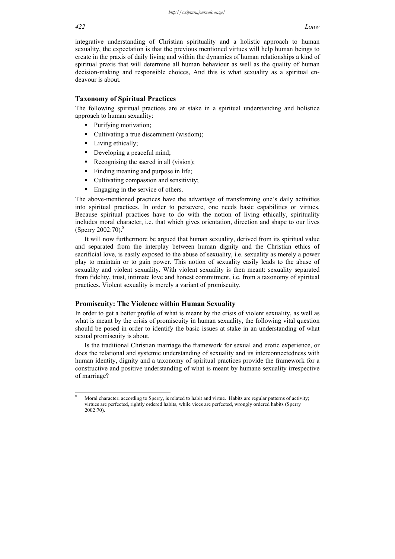integrative understanding of Christian spirituality and a holistic approach to human sexuality, the expectation is that the previous mentioned virtues will help human beings to create in the praxis of daily living and within the dynamics of human relationships a kind of spiritual praxis that will determine all human behaviour as well as the quality of human decision-making and responsible choices, And this is what sexuality as a spiritual endeavour is about.

## **Taxonomy of Spiritual Practices**

The following spiritual practices are at stake in a spiritual understanding and holistice approach to human sexuality:

- Purifying motivation;
- Cultivating a true discernment (wisdom);
- Living ethically;
- Developing a peaceful mind;
- Recognising the sacred in all (vision);
- Finding meaning and purpose in life;
- Cultivating compassion and sensitivity;
- Engaging in the service of others.

The above-mentioned practices have the advantage of transforming one's daily activities into spiritual practices. In order to persevere, one needs basic capabilities or virtues. Because spiritual practices have to do with the notion of living ethically, spirituality includes moral character, i.e. that which gives orientation, direction and shape to our lives (Sperry 2002:70).<sup>8</sup>

It will now furthermore be argued that human sexuality, derived from its spiritual value and separated from the interplay between human dignity and the Christian ethics of sacrificial love, is easily exposed to the abuse of sexuality, i.e. sexuality as merely a power play to maintain or to gain power. This notion of sexuality easily leads to the abuse of sexuality and violent sexuality. With violent sexuality is then meant: sexuality separated from fidelity, trust, intimate love and honest commitment, i.e. from a taxonomy of spiritual practices. Violent sexuality is merely a variant of promiscuity.

## **Promiscuity: The Violence within Human Sexuality**

In order to get a better profile of what is meant by the crisis of violent sexuality, as well as what is meant by the crisis of promiscuity in human sexuality, the following vital question should be posed in order to identify the basic issues at stake in an understanding of what sexual promiscuity is about.

Is the traditional Christian marriage the framework for sexual and erotic experience, or does the relational and systemic understanding of sexuality and its interconnectedness with human identity, dignity and a taxonomy of spiritual practices provide the framework for a constructive and positive understanding of what is meant by humane sexuality irrespective of marriage?

<sup>8</sup> Moral character, according to Sperry, is related to habit and virtue. Habits are regular patterns of activity; virtues are perfected, rightly ordered habits, while vices are perfected, wrongly ordered habits (Sperry 2002:70).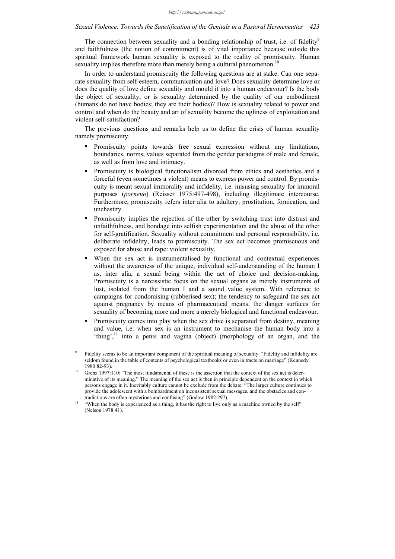#### *Sexual Violence: Towards the Sanctification of the Genitals in a Pastoral Hermeneutics 423*

The connection between sexuality and a bonding relationship of trust, i.e. of fidelity<sup>9</sup> and faithfulness (the notion of commitment) is of vital importance because outside this spiritual framework human sexuality is exposed to the reality of promiscuity. Human sexuality implies therefore more than merely being a cultural phenomenon.<sup>10</sup>

In order to understand promiscuity the following questions are at stake. Can one separate sexuality from self-esteem, communication and love? Does sexuality determine love or does the quality of love define sexuality and mould it into a human endeavour? Is the body the object of sexuality, or is sexuality determined by the quality of our embodiment (humans do not have bodies; they are their bodies)? How is sexuality related to power and control and when do the beauty and art of sexuality become the ugliness of exploitation and violent self-satisfaction?

The previous questions and remarks help us to define the crisis of human sexuality namely promiscuity.

- Promiscuity points towards free sexual expression without any limitations, boundaries, norms, values separated from the gender paradigms of male and female, as well as from love and intimacy.
- Promiscuity is biological functionalism divorced from ethics and aesthetics and a forceful (even sometimes a violent) means to express power and control. By promiscuity is meant sexual immorality and infidelity, i.e. misusing sexuality for immoral purposes (*porneuo*) (Reisser 1975:497-498), including illegitimate intercourse. Furthermore, promiscuity refers inter alia to adultery, prostitution, fornication, and unchastity.
- Promiscuity implies the rejection of the other by switching trust into distrust and unfaithfulness, and bondage into selfish experimentation and the abuse of the other for self-gratification. Sexuality without commitment and personal responsibility, i.e. deliberate infidelity, leads to promiscuity. The sex act becomes promiscuous and exposed for abuse and rape: violent sexuality.
- When the sex act is instrumentalised by functional and contextual experiences without the awareness of the unique, individual self-understanding of the human I as, inter alia, a sexual being within the act of choice and decision-making. Promiscuity is a narcissistic focus on the sexual organs as merely instruments of lust, isolated from the human I and a sound value system. With reference to campaigns for condomising (rubberised sex); the tendency to safeguard the sex act against pregnancy by means of pharmaceutical means, the danger surfaces for sexuality of becoming more and more a merely biological and functional endeavour.
- Promiscuity comes into play when the sex drive is separated from destiny, meaning and value, i.e. when sex is an instrument to mechanise the human body into a 'thing', $\frac{11}{11}$  into a penis and vagina (object) (morphology of an organ, and the

<sup>9</sup> Fidelity seems to be an important component of the spiritual meaning of sexuality. "Fidelity and infidelity are seldom found in the table of contents of psychological textbooks or even in tracts on marriage" (Kennedy 1980:82-93).<br>Grenz 1997:110: "The most fundamental of these is the assertion that the context of the sex act is deter-

minative of its meaning." The meaning of the sex act is then in principle dependent on the context in which persons engage in it. Inevitably culture cannot be exclude from the debate: "The larger culture continues to provide the adolescent with a bombardment on inconsistent sexual messages, and the obstacles and contradictions are often mysterious and confusing" (Godow 1982:297).<br>"When the body is experienced as a thing, it has the right to live only as a machine owned by the self"

<sup>(</sup>Nelson 1978:41).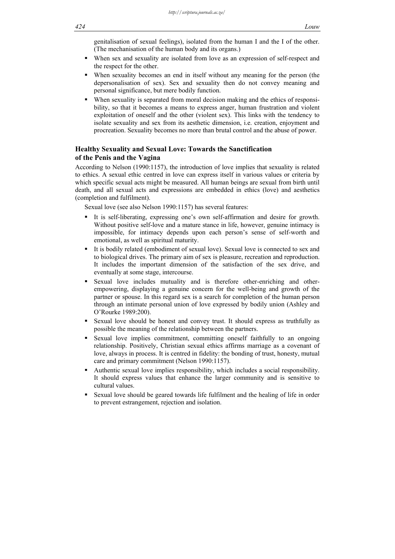genitalisation of sexual feelings), isolated from the human I and the I of the other. (The mechanisation of the human body and its organs.)

- When sex and sexuality are isolated from love as an expression of self-respect and the respect for the other.
- When sexuality becomes an end in itself without any meaning for the person (the depersonalisation of sex). Sex and sexuality then do not convey meaning and personal significance, but mere bodily function.
- When sexuality is separated from moral decision making and the ethics of responsibility, so that it becomes a means to express anger, human frustration and violent exploitation of oneself and the other (violent sex). This links with the tendency to isolate sexuality and sex from its aesthetic dimension, i.e. creation, enjoyment and procreation. Sexuality becomes no more than brutal control and the abuse of power.

## **Healthy Sexuality and Sexual Love: Towards the Sanctification of the Penis and the Vagina**

According to Nelson (1990:1157), the introduction of love implies that sexuality is related to ethics. A sexual ethic centred in love can express itself in various values or criteria by which specific sexual acts might be measured. All human beings are sexual from birth until death, and all sexual acts and expressions are embedded in ethics (love) and aesthetics (completion and fulfilment).

Sexual love (see also Nelson 1990:1157) has several features:

- It is self-liberating, expressing one's own self-affirmation and desire for growth. Without positive self-love and a mature stance in life, however, genuine intimacy is impossible, for intimacy depends upon each person's sense of self-worth and emotional, as well as spiritual maturity.
- It is bodily related (embodiment of sexual love). Sexual love is connected to sex and to biological drives. The primary aim of sex is pleasure, recreation and reproduction. It includes the important dimension of the satisfaction of the sex drive, and eventually at some stage, intercourse.
- Sexual love includes mutuality and is therefore other-enriching and otherempowering, displaying a genuine concern for the well-being and growth of the partner or spouse. In this regard sex is a search for completion of the human person through an intimate personal union of love expressed by bodily union (Ashley and O'Rourke 1989:200).
- Sexual love should be honest and convey trust. It should express as truthfully as possible the meaning of the relationship between the partners.
- Sexual love implies commitment, committing oneself faithfully to an ongoing relationship. Positively, Christian sexual ethics affirms marriage as a covenant of love, always in process. It is centred in fidelity: the bonding of trust, honesty, mutual care and primary commitment (Nelson 1990:1157).
- Authentic sexual love implies responsibility, which includes a social responsibility. It should express values that enhance the larger community and is sensitive to cultural values.
- Sexual love should be geared towards life fulfilment and the healing of life in order to prevent estrangement, rejection and isolation.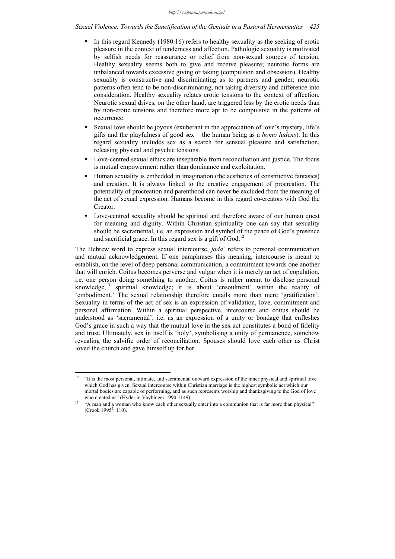## *Sexual Violence: Towards the Sanctification of the Genitals in a Pastoral Hermeneutics 425*

- In this regard Kennedy (1980:16) refers to healthy sexuality as the seeking of erotic pleasure in the context of tenderness and affection. Pathologic sexuality is motivated by selfish needs for reassurance or relief from non-sexual sources of tension. Healthy sexuality seems both to give and receive pleasure; neurotic forms are unbalanced towards excessive giving or taking (compulsion and obsession). Healthy sexuality is constructive and discriminating as to partners and gender; neurotic patterns often tend to be non-discriminating, not taking diversity and difference into consideration. Healthy sexuality relates erotic tensions to the context of affection. Neurotic sexual drives, on the other hand, are triggered less by the erotic needs than by non-erotic tensions and therefore more apt to be compulsive in the patterns of occurrence.
- Sexual love should be joyous (exuberant in the appreciation of love's mystery, life's gifts and the playfulness of good sex – the human being as a *homo ludens*). In this regard sexuality includes sex as a search for sensual pleasure and satisfaction, releasing physical and psychic tensions.
- Love-centred sexual ethics are inseparable from reconciliation and justice. The focus is mutual empowerment rather than dominance and exploitation.
- Human sexuality is embedded in imagination (the aesthetics of constructive fantasies) and creation. It is always linked to the creative engagement of procreation. The potentiality of procreation and parenthood can never be excluded from the meaning of the act of sexual expression. Humans become in this regard co-creators with God the Creator.
- Love-centred sexuality should be spiritual and therefore aware of our human quest for meaning and dignity. Within Christian spirituality one can say that sexuality should be sacramental, i.e. an expression and symbol of the peace of God's presence and sacrificial grace. In this regard sex is a gift of God.<sup>12</sup>

The Hebrew word to express sexual intercourse, *jada'* refers to personal communication and mutual acknowledgement. If one paraphrases this meaning, intercourse is meant to establish, on the level of deep personal communication, a commitment towards one another that will enrich. Coitus becomes perverse and vulgar when it is merely an act of copulation, i.e. one person doing something to another. Coitus is rather meant to disclose personal knowledge,13 spiritual knowledge; it is about 'ensoulment' within the reality of 'embodiment.' The sexual relationship therefore entails more than mere 'gratification'. Sexuality in terms of the act of sex is an expression of validation, love, commitment and personal affirmation. Within a spiritual perspective, intercourse and coitus should be understood as 'sacramental', i.e. as an expression of a unity or bondage that enfleshes God's grace in such a way that the mutual love in the sex act constitutes a bond of fidelity and trust. Ultimately, sex in itself is 'holy', symbolising a unity of permanence, somehow revealing the salvific order of reconciliation. Spouses should love each other as Christ loved the church and gave himself up for her.

 $12$ 12 "It is the most personal, intimate, and sacramental outward expression of the inner physical and spiritual love which God has given. Sexual intercourse within Christian marriage is the highest symbolic act which our mortal bodies are capable of performing, and as such represents worship and thanksgiving to the God of love who created us" (Hyder in Vayhinger 1990:1149).<br><sup>13</sup> "A man and a woman who know each other sexually enter into a communion that is far more than physical"

 $(Crook 1995<sup>2</sup>: 110).$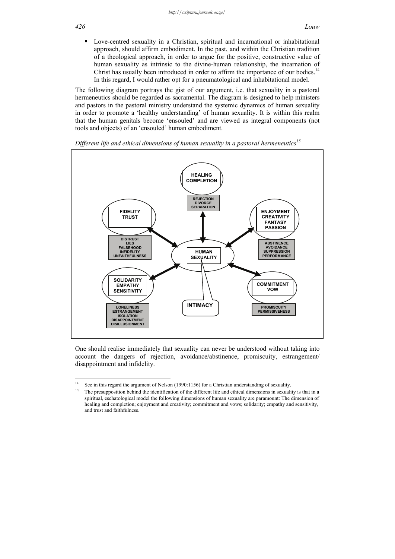Love-centred sexuality in a Christian, spiritual and incarnational or inhabitational approach, should affirm embodiment. In the past, and within the Christian tradition of a theological approach, in order to argue for the positive, constructive value of human sexuality as intrinsic to the divine-human relationship, the incarnation of Christ has usually been introduced in order to affirm the importance of our bodies.<sup>14</sup> In this regard, I would rather opt for a pneumatological and inhabitational model.

The following diagram portrays the gist of our argument, i.e. that sexuality in a pastoral hermeneutics should be regarded as sacramental. The diagram is designed to help ministers and pastors in the pastoral ministry understand the systemic dynamics of human sexuality in order to promote a 'healthy understanding' of human sexuality. It is within this realm that the human genitals become 'ensouled' and are viewed as integral components (not tools and objects) of an 'ensouled' human embodiment.





One should realise immediately that sexuality can never be understood without taking into account the dangers of rejection, avoidance/abstinence, promiscuity, estrangement/ disappointment and infidelity.

 $14$ See in this regard the argument of Nelson (1990:1156) for a Christian understanding of sexuality.

<sup>&</sup>lt;sup>15</sup> The presupposition behind the identification of the different life and ethical dimensions in sexuality is that in a spiritual, eschatological model the following dimensions of human sexuality are paramount: The dimension of healing and completion; enjoyment and creativity; commitment and vows; solidarity; empathy and sensitivity, and trust and faithfulness.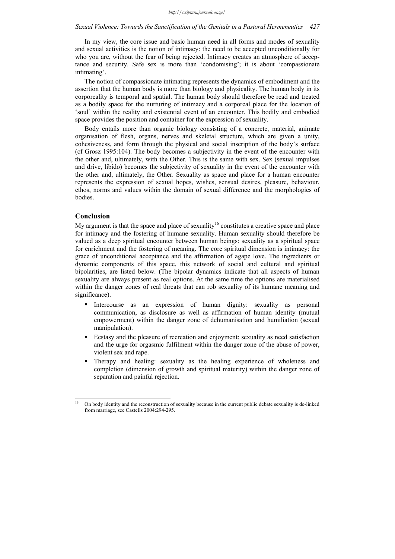In my view, the core issue and basic human need in all forms and modes of sexuality and sexual activities is the notion of intimacy: the need to be accepted unconditionally for who you are, without the fear of being rejected. Intimacy creates an atmosphere of acceptance and security. Safe sex is more than 'condomising'; it is about 'compassionate intimating'.

The notion of compassionate intimating represents the dynamics of embodiment and the assertion that the human body is more than biology and physicality. The human body in its corporeality is temporal and spatial. The human body should therefore be read and treated as a bodily space for the nurturing of intimacy and a corporeal place for the location of 'soul' within the reality and existential event of an encounter. This bodily and embodied space provides the position and container for the expression of sexuality.

Body entails more than organic biology consisting of a concrete, material, animate organisation of flesh, organs, nerves and skeletal structure, which are given a unity, cohesiveness, and form through the physical and social inscription of the body's surface (cf Grosz 1995:104). The body becomes a subjectivity in the event of the encounter with the other and, ultimately, with the Other. This is the same with sex. Sex (sexual impulses and drive, libido) becomes the subjectivity of sexuality in the event of the encounter with the other and, ultimately, the Other. Sexuality as space and place for a human encounter represents the expression of sexual hopes, wishes, sensual desires, pleasure, behaviour, ethos, norms and values within the domain of sexual difference and the morphologies of bodies.

## **Conclusion**

1

My argument is that the space and place of sexuality<sup>16</sup> constitutes a creative space and place for intimacy and the fostering of humane sexuality. Human sexuality should therefore be valued as a deep spiritual encounter between human beings: sexuality as a spiritual space for enrichment and the fostering of meaning. The core spiritual dimension is intimacy: the grace of unconditional acceptance and the affirmation of agape love. The ingredients or dynamic components of this space, this network of social and cultural and spiritual bipolarities, are listed below. (The bipolar dynamics indicate that all aspects of human sexuality are always present as real options. At the same time the options are materialised within the danger zones of real threats that can rob sexuality of its humane meaning and significance).

- Intercourse as an expression of human dignity: sexuality as personal communication, as disclosure as well as affirmation of human identity (mutual empowerment) within the danger zone of dehumanisation and humiliation (sexual manipulation).
- Ecstasy and the pleasure of recreation and enjoyment: sexuality as need satisfaction and the urge for orgasmic fulfilment within the danger zone of the abuse of power, violent sex and rape.
- Therapy and healing: sexuality as the healing experience of wholeness and completion (dimension of growth and spiritual maturity) within the danger zone of separation and painful rejection.

<sup>16</sup> On body identity and the reconstruction of sexuality because in the current public debate sexuality is de-linked from marriage, see Castells 2004:294-295.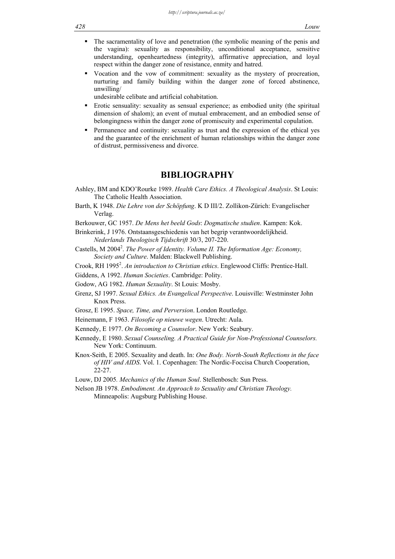- The sacramentality of love and penetration (the symbolic meaning of the penis and the vagina): sexuality as responsibility, unconditional acceptance, sensitive understanding, openheartedness (integrity), affirmative appreciation, and loyal respect within the danger zone of resistance, enmity and hatred.
- Vocation and the vow of commitment: sexuality as the mystery of procreation, nurturing and family building within the danger zone of forced abstinence, unwilling/

undesirable celibate and artificial cohabitation.

- Erotic sensuality: sexuality as sensual experience; as embodied unity (the spiritual dimension of shalom); an event of mutual embracement, and an embodied sense of belongingness within the danger zone of promiscuity and experimental copulation.
- Permanence and continuity: sexuality as trust and the expression of the ethical yes and the guarantee of the enrichment of human relationships within the danger zone of distrust, permissiveness and divorce.

## **BIBLIOGRAPHY**

- Ashley, BM and KDO'Rourke 1989. *Health Care Ethics. A Theological Analysis*. St Louis: The Catholic Health Association.
- Barth, K 1948. *Die Lehre von der Schöpfung*. K D III/2. Zollikon-Zürich: Evangelischer Verlag.
- Berkouwer, GC 1957. *De Mens het beeld Gods*: *Dogmatische studien*. Kampen: Kok.
- Brinkerink, J 1976. Ontstaansgeschiedenis van het begrip verantwoordelijkheid. *Nederlands Theologisch Tijdschrift* 30/3, 207-220.
- Castells, M 2004<sup>2</sup>. The Power of Identity. Volume II. The Information Age: Economy, *Society and Culture*. Malden: Blackwell Publishing.
- Crook, RH 1995<sup>2</sup>. An introduction to Christian ethics. Englewood Cliffs: Prentice-Hall.

Giddens, A 1992. *Human Societies*. Cambridge: Polity.

- Godow, AG 1982. *Human Sexuality*. St Louis: Mosby.
- Grenz, SJ 1997. *Sexual Ethics. An Evangelical Perspective*. Louisville: Westminster John Knox Press.
- Grosz, E 1995. *Space, Time, and Perversion*. London Routledge.
- Heinemann, F 1963. *Filosofie op nieuwe wegen*. Utrecht: Aula.
- Kennedy, E 1977. *On Becoming a Counselor*. New York: Seabury.
- Kennedy, E 1980. *Sexual Counseling. A Practical Guide for Non-Professional Counselors.*  New York: Continuum.
- Knox-Seith, E 2005. Sexuality and death. In: *One Body. North-South Reflections in the face of HIV and AIDS*. Vol. 1. Copenhagen: The Nordic-Foccisa Church Cooperation, 22-27.
- Louw, DJ 2005*. Mechanics of the Human Soul*. Stellenbosch: Sun Press.
- Nelson JB 1978. *Embodiment. An Approach to Sexuality and Christian Theology.* Minneapolis: Augsburg Publishing House.